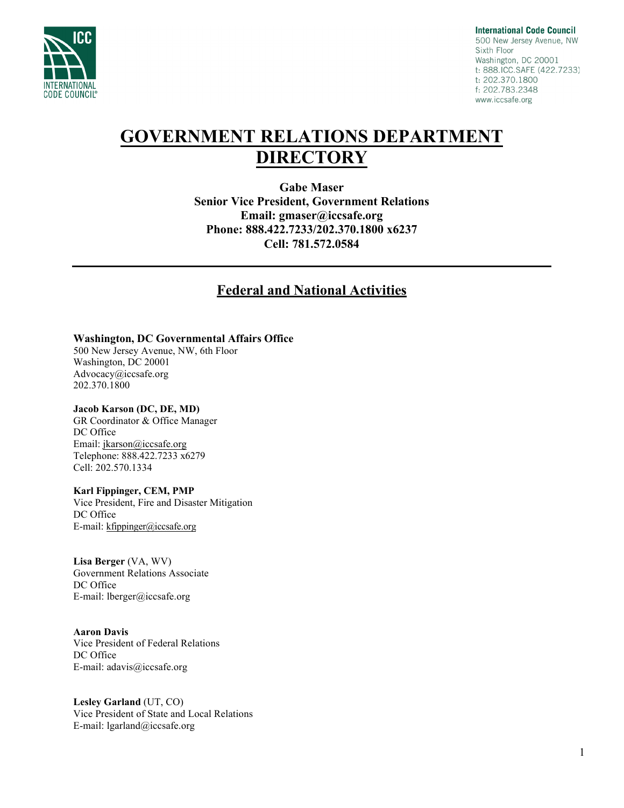

**International Code Council** 500 New Jersey Avenue, NW Sixth Floor Washington, DC 20001 t: 888.ICC.SAFE (422.7233) t: 202.370.1800 f: 202.783.2348 www.iccsafe.org

# **GOVERNMENT RELATIONS DEPARTMENT DIRECTORY**

**Gabe Maser Senior Vice President, Government Relations Email: gmaser[@iccsafe.org](mailto:syerkes@iccsafe.org)  Phone: 888.422.7233/202.370.1800 x6237 Cell: 781.572.0584**

### **Federal and National Activities**

#### **Washington, DC Governmental Affairs Office**

500 New Jersey Avenue, NW, 6th Floor Washington, DC 20001 Advocacy@iccsafe.org 202.370.1800

#### **Jacob Karson (DC, DE, MD)**

GR Coordinator & Office Manager DC Office Email: [jkarson@iccsafe.org](mailto:jkarson@iccsafe.org) Telephone: 888.422.7233 x6279 Cell: 202.570.1334

#### **Karl Fippinger, CEM, PMP**

Vice President, Fire and Disaster Mitigation DC Office E-mail: kfippinger@iccsafe.org

#### **Lisa Berger** (VA, WV)

Government Relations Associate DC Office E-mail: lberger@iccsafe.org

#### **Aaron Davis**

Vice President of Federal Relations DC Office E-mail: adavis@iccsafe.org

**Lesley Garland** [\(UT, CO\)](mailto:kfippinger@iccsafe.org) Vice President of State and Local Relations E-mail: lgarland@iccsafe.org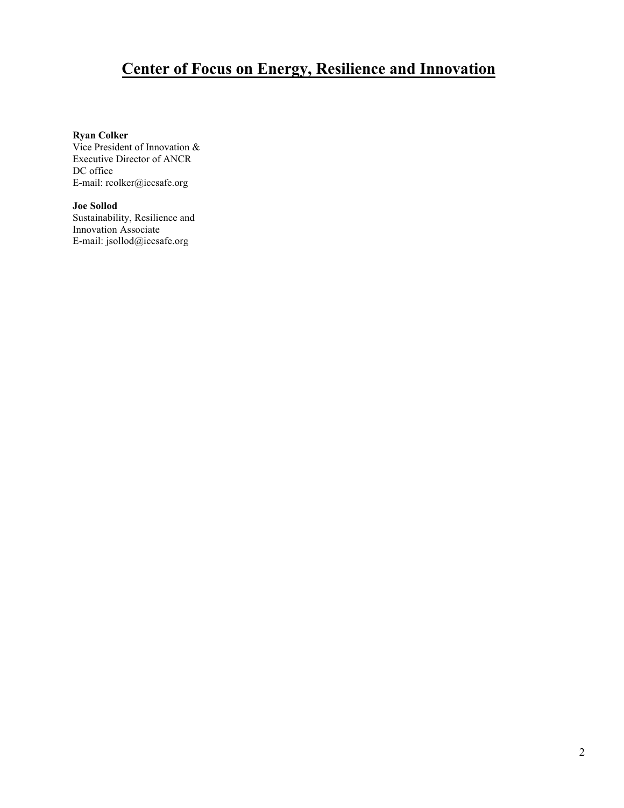# **Center of Focus on Energy, Resilience and Innovation**

#### **Ryan Colker**

Vice President of Innovation & Executive Director of ANCR DC office E-mail: rcolker@iccsafe.org

**Joe [Sollod](mailto:croblee@iccsafe.org)** Sustainability, Resilience and Innovation Associate E-mail: jsollod@iccsafe.org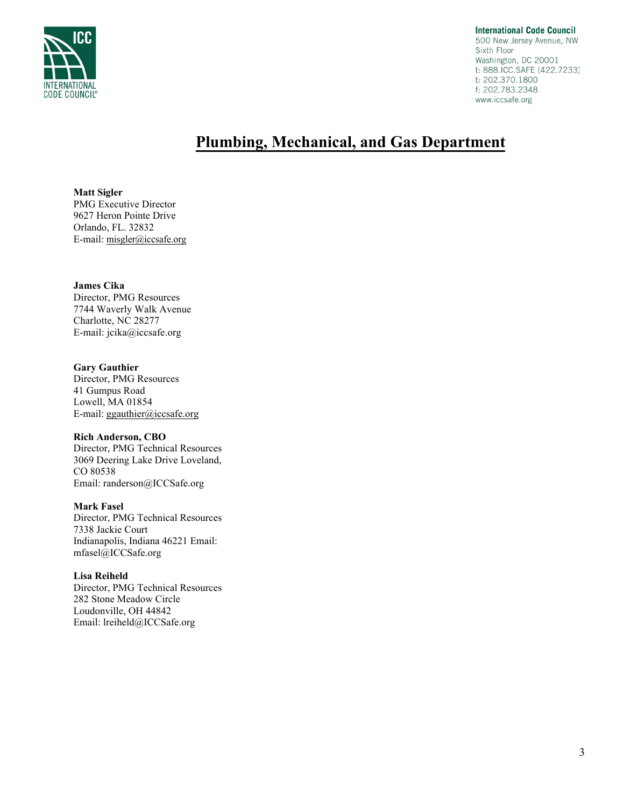

**International Code Council** 500 New Jersey Avenue, NW Sixth Floor Washington, DC 20001 t: 888.ICC.SAFE (422.7233) t: 202.370.1800 f: 202.783.2348 www.iccsafe.org

## **Plumbing, Mechanical, and Gas Department**

**Matt Sigler** PMG Executive Director 9627 Heron Pointe Drive Orlando, FL. 32832 E-mail: [misgler](mailto:jcika@iccsafe.org)@iccsafe.org

#### **James Cika**

Director, PMG Resources 7744 Waverly Walk Avenue Charlotte, NC 28277 E-mail[: jcika@iccsafe.org](mailto:lclifton@iccsafe.org)

#### **Gary Gauthier**

Director, PMG Resources 41 Gumpus Road Lowell, MA 01854 E-mail: ggauthier@iccsafe.org

#### **Rich Anderson, CBO**

Director, PMG Technical Resources 3069 Deering Lake Drive Loveland, CO 80538 Email: randerson@ICCSafe.org

#### **Mark Fasel**

Director, PMG Technical Resources 7338 J[ackie Court](mailto:sstrausbaugh@iccsafe.org) Indianapolis, Indiana 46221 Email: mfasel@ICCSafe.org

#### **Lisa Reiheld**

Director, PMG Technical Resources 282 Stone Meadow Circle Loudonville, OH 44842 Email: lreiheld@ICCSafe.org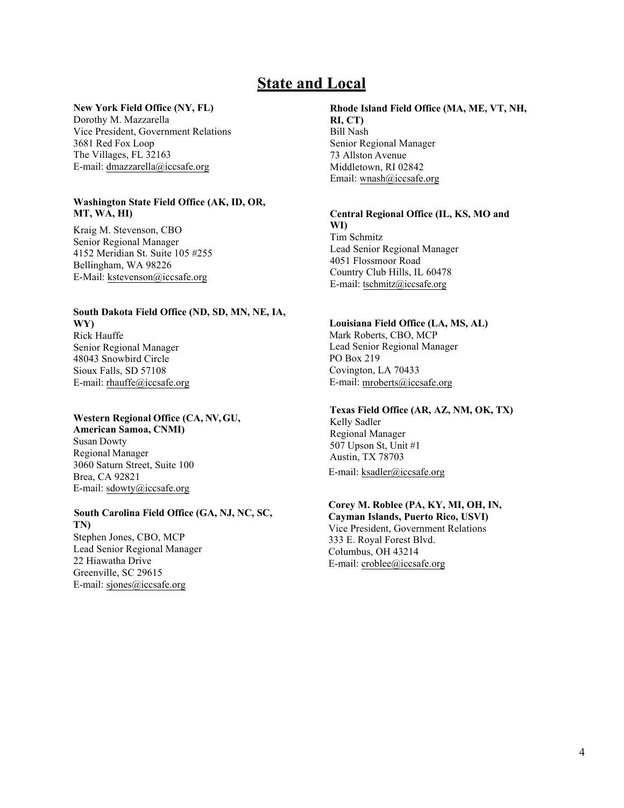## **State and Local**

#### **New York Field Office (NY, FL)**

Dorothy M. Mazzarella Vice President, Government Relations 3681 Red Fox Loop The Villages, FL 32163 E-mail: dmazzarella@iccsafe.org

#### **Washington State Field Office (AK, ID, OR, MT, WA, HI)**

Kraig M. Stevenson, CBO Senior Regional Manager 4152 Meridian St. Suite 105 #255 Bellingham, WA 98226 E-Mail: kstevenson@iccsafe.org

#### **South Dakota Field Office (ND, SD, MN, NE, IA, WY)**  Rick Hauffe

Senior Regional Manager 48043 Snowbird Circle Sioux Falls, SD 57108 E-mail: rhauffe@iccsafe.org

#### **Wester[n Regional](mailto:rhauffe@iccsafe.org) Office (CA, NV,GU,**

**American Samoa, CNMI)**  Susan Dowty Regional Manager 3060 Saturn Street, Suite 100 Brea, CA 92821 E-mail: sdowty@iccsafe.org

#### **South Carolina Field Office (GA, NJ, NC, SC, TN)**

Stephen [Jones, CBO](mailto:sdowty@iccsafe.org), MCP Lead Senior Regional Manager 22 Hiawatha Drive Greenville, SC 29615 E-mail: sjones@iccsafe.org

#### **Rhode Island Field Office (MA, ME, VT, NH, RI, CT)**  Bill Nash Senior Regional Manager 73 Allston Avenue

Middletown, RI 02842 Email: wnash@iccsafe.org

#### **Central Regional Office (IL, KS, MO and WI)**  Tim Schmitz Lead Senior Regional Manager 4051 Flossmoor Road

Countr[y Club Hills, IL 60478](mailto:tschmitz@iccsafe.org) E-mail: tschmitz@iccsafe.org

#### **Louisiana Field Office (LA, MS, AL)**

Mark Roberts, CBO, MCP Lead Senior Regional Manager PO Box 219 Covington, LA 70433 E-mail: mroberts@iccsafe.org

### **Texas Field Office (AR, AZ, NM, OK, TX)**

Kelly Sadler Regional Manager 507 Upson St, Unit #1 Austin, TX 78703 E-mail: ksadler@iccsafe.org

## **Corey M. Roblee (PA, KY, MI, OH, IN,**

**Cayman [Islands, Puerto Ric](mailto:ksadler@iccsafe.org)o, USVI)** Vice President, Government Relations 333 E. Royal Forest Blvd. Columbus, OH 43214 E-mail: [croblee@iccsafe.org](mailto:jwiley@iccsafe.org)